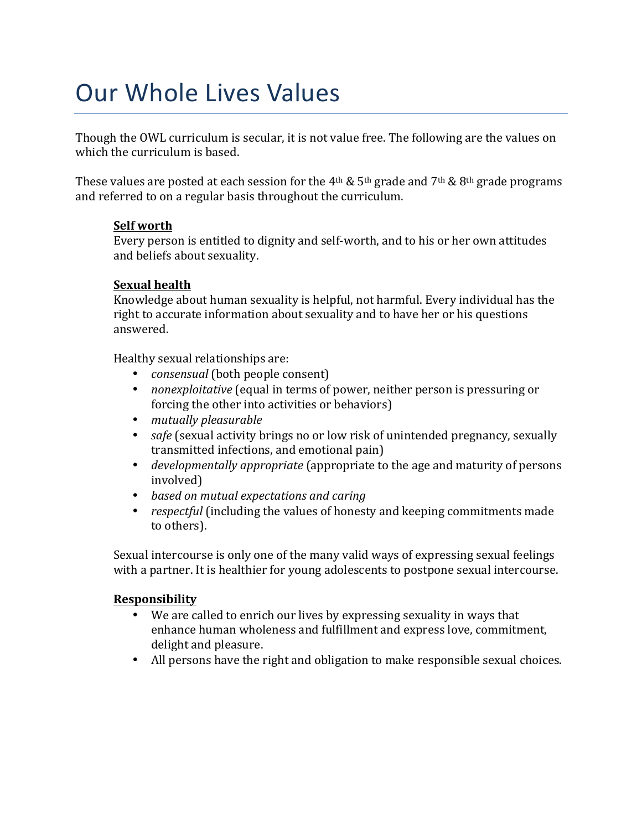# Our Whole Lives Values

Though the OWL curriculum is secular, it is not value free. The following are the values on which the curriculum is based.

These values are posted at each session for the 4<sup>th</sup> & 5<sup>th</sup> grade and 7<sup>th</sup> & 8<sup>th</sup> grade programs and referred to on a regular basis throughout the curriculum.

#### **Self worth**

Every person is entitled to dignity and self-worth, and to his or her own attitudes and beliefs about sexuality.

### **Sexual health**

Knowledge about human sexuality is helpful, not harmful. Every individual has the right to accurate information about sexuality and to have her or his questions answered.

Healthy sexual relationships are:

- *consensual* (both people consent)
- *nonexploitative* (equal in terms of power, neither person is pressuring or forcing the other into activities or behaviors)
- *mutually pleasurable*
- *safe* (sexual activity brings no or low risk of unintended pregnancy, sexually transmitted infections, and emotional pain)
- *developmentally appropriate* (appropriate to the age and maturity of persons involved)
- *based on mutual expectations and caring*
- *respectful* (including the values of honesty and keeping commitments made to others).

Sexual intercourse is only one of the many valid ways of expressing sexual feelings with a partner. It is healthier for young adolescents to postpone sexual intercourse.

#### **Responsibility**

- We are called to enrich our lives by expressing sexuality in ways that enhance human wholeness and fulfillment and express love, commitment, delight and pleasure.
- All persons have the right and obligation to make responsible sexual choices.